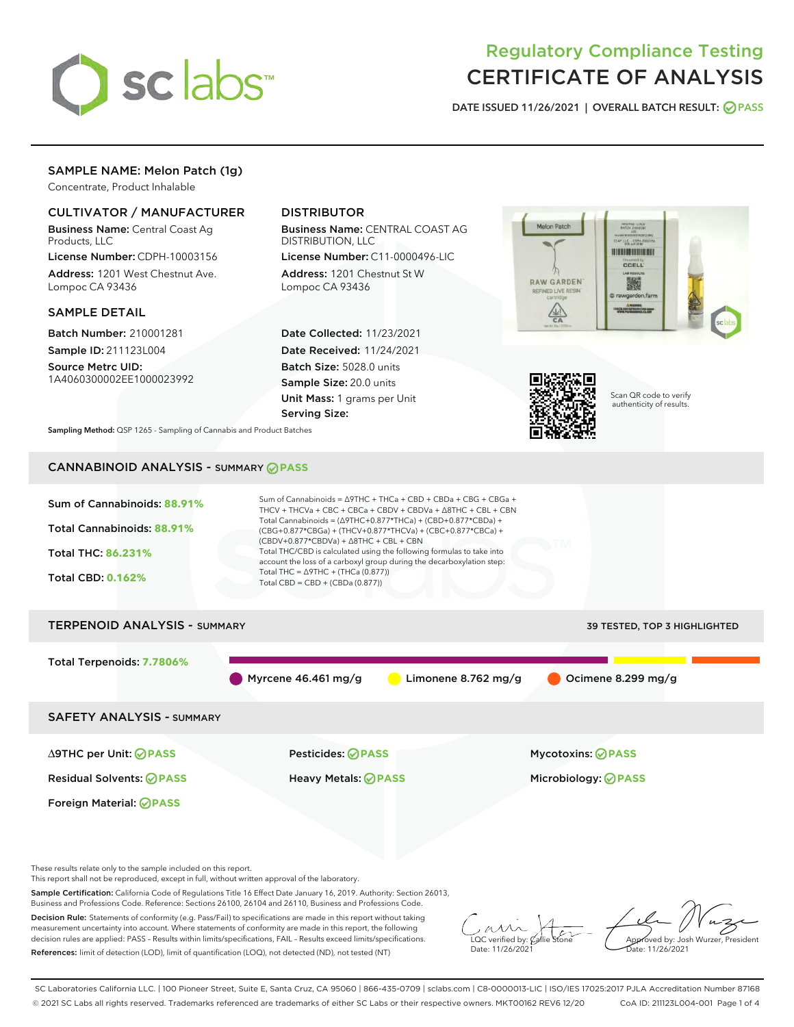

# Regulatory Compliance Testing CERTIFICATE OF ANALYSIS

DATE ISSUED 11/26/2021 | OVERALL BATCH RESULT: @ PASS

# SAMPLE NAME: Melon Patch (1g)

Concentrate, Product Inhalable

# CULTIVATOR / MANUFACTURER

Business Name: Central Coast Ag Products, LLC

License Number: CDPH-10003156 Address: 1201 West Chestnut Ave. Lompoc CA 93436

### SAMPLE DETAIL

Batch Number: 210001281 Sample ID: 211123L004

Source Metrc UID: 1A4060300002EE1000023992

# DISTRIBUTOR

Business Name: CENTRAL COAST AG DISTRIBUTION, LLC

License Number: C11-0000496-LIC Address: 1201 Chestnut St W Lompoc CA 93436

Date Collected: 11/23/2021 Date Received: 11/24/2021 Batch Size: 5028.0 units Sample Size: 20.0 units Unit Mass: 1 grams per Unit Serving Size:





Scan QR code to verify authenticity of results.

Sampling Method: QSP 1265 - Sampling of Cannabis and Product Batches

# CANNABINOID ANALYSIS - SUMMARY **PASS**



Sample Certification: California Code of Regulations Title 16 Effect Date January 16, 2019. Authority: Section 26013, Business and Professions Code. Reference: Sections 26100, 26104 and 26110, Business and Professions Code.

Decision Rule: Statements of conformity (e.g. Pass/Fail) to specifications are made in this report without taking measurement uncertainty into account. Where statements of conformity are made in this report, the following decision rules are applied: PASS – Results within limits/specifications, FAIL – Results exceed limits/specifications. References: limit of detection (LOD), limit of quantification (LOQ), not detected (ND), not tested (NT)

 $\overline{\text{LOC}}$  verified by:  $\mathcal{C}_i$ Date: 11/26/2021

Approved by: Josh Wurzer, President ate: 11/26/2021

SC Laboratories California LLC. | 100 Pioneer Street, Suite E, Santa Cruz, CA 95060 | 866-435-0709 | sclabs.com | C8-0000013-LIC | ISO/IES 17025:2017 PJLA Accreditation Number 87168 © 2021 SC Labs all rights reserved. Trademarks referenced are trademarks of either SC Labs or their respective owners. MKT00162 REV6 12/20 CoA ID: 211123L004-001 Page 1 of 4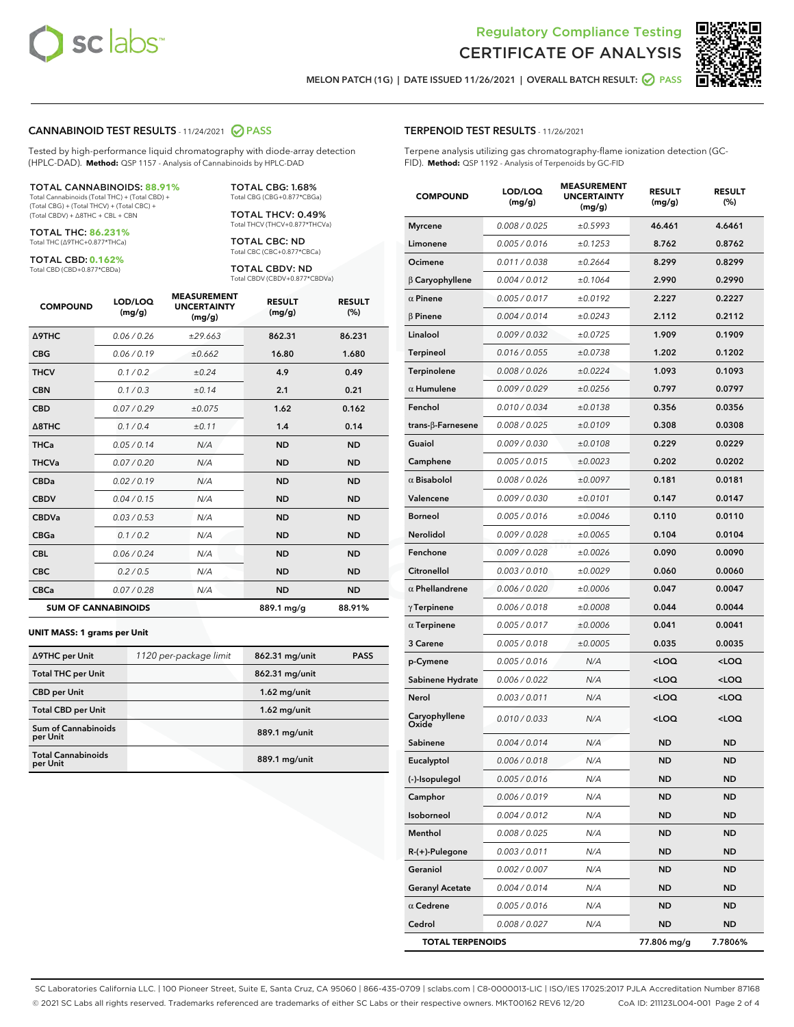



MELON PATCH (1G) | DATE ISSUED 11/26/2021 | OVERALL BATCH RESULT:  $\bigcirc$  PASS

#### CANNABINOID TEST RESULTS - 11/24/2021 2 PASS

Tested by high-performance liquid chromatography with diode-array detection (HPLC-DAD). **Method:** QSP 1157 - Analysis of Cannabinoids by HPLC-DAD

#### TOTAL CANNABINOIDS: **88.91%**

Total Cannabinoids (Total THC) + (Total CBD) + (Total CBG) + (Total THCV) + (Total CBC) + (Total CBDV) + ∆8THC + CBL + CBN

TOTAL THC: **86.231%** Total THC (∆9THC+0.877\*THCa)

TOTAL CBD: **0.162%**

Total CBD (CBD+0.877\*CBDa)

TOTAL CBG: 1.68% Total CBG (CBG+0.877\*CBGa)

TOTAL THCV: 0.49% Total THCV (THCV+0.877\*THCVa)

TOTAL CBC: ND Total CBC (CBC+0.877\*CBCa)

TOTAL CBDV: ND Total CBDV (CBDV+0.877\*CBDVa)

| <b>COMPOUND</b>            | LOD/LOQ<br>(mg/g) | <b>MEASUREMENT</b><br><b>UNCERTAINTY</b><br>(mg/g) | <b>RESULT</b><br>(mg/g) | <b>RESULT</b><br>(%) |
|----------------------------|-------------------|----------------------------------------------------|-------------------------|----------------------|
| Δ9THC                      | 0.06 / 0.26       | ±29.663                                            | 862.31                  | 86.231               |
| <b>CBG</b>                 | 0.06/0.19         | ±0.662                                             | 16.80                   | 1.680                |
| <b>THCV</b>                | 0.1 / 0.2         | ±0.24                                              | 4.9                     | 0.49                 |
| <b>CBN</b>                 | 0.1/0.3           | ±0.14                                              | 2.1                     | 0.21                 |
| <b>CBD</b>                 | 0.07/0.29         | ±0.075                                             | 1.62                    | 0.162                |
| $\triangle$ 8THC           | 0.1/0.4           | ±0.11                                              | 1.4                     | 0.14                 |
| <b>THCa</b>                | 0.05/0.14         | N/A                                                | <b>ND</b>               | <b>ND</b>            |
| <b>THCVa</b>               | 0.07/0.20         | N/A                                                | <b>ND</b>               | <b>ND</b>            |
| <b>CBDa</b>                | 0.02 / 0.19       | N/A                                                | <b>ND</b>               | <b>ND</b>            |
| <b>CBDV</b>                | 0.04 / 0.15       | N/A                                                | <b>ND</b>               | <b>ND</b>            |
| <b>CBDVa</b>               | 0.03/0.53         | N/A                                                | <b>ND</b>               | <b>ND</b>            |
| <b>CBGa</b>                | 0.1 / 0.2         | N/A                                                | <b>ND</b>               | <b>ND</b>            |
| <b>CBL</b>                 | 0.06 / 0.24       | N/A                                                | <b>ND</b>               | <b>ND</b>            |
| <b>CBC</b>                 | 0.2 / 0.5         | N/A                                                | <b>ND</b>               | <b>ND</b>            |
| <b>CBCa</b>                | 0.07/0.28         | N/A                                                | <b>ND</b>               | <b>ND</b>            |
| <b>SUM OF CANNABINOIDS</b> |                   |                                                    | 889.1 mg/g              | 88.91%               |

#### **UNIT MASS: 1 grams per Unit**

| ∆9THC per Unit                         | 1120 per-package limit | 862.31 mg/unit | <b>PASS</b> |
|----------------------------------------|------------------------|----------------|-------------|
| <b>Total THC per Unit</b>              |                        | 862.31 mg/unit |             |
| <b>CBD</b> per Unit                    |                        | $1.62$ mg/unit |             |
| <b>Total CBD per Unit</b>              |                        | $1.62$ mg/unit |             |
| <b>Sum of Cannabinoids</b><br>per Unit |                        | 889.1 mg/unit  |             |
| <b>Total Cannabinoids</b><br>per Unit  |                        | 889.1 mg/unit  |             |

| <b>COMPOUND</b>        | LOD/LOQ<br>(mg/g) | <b>MEASUREMENT</b><br><b>UNCERTAINTY</b><br>(mg/g) | <b>RESULT</b><br>(mg/g)                         | <b>RESULT</b><br>(%) |
|------------------------|-------------------|----------------------------------------------------|-------------------------------------------------|----------------------|
| <b>Myrcene</b>         | 0.008 / 0.025     | ±0.5993                                            | 46.461                                          | 4.6461               |
| Limonene               | 0.005 / 0.016     | ±0.1253                                            | 8.762                                           | 0.8762               |
| Ocimene                | 0.011 / 0.038     | ±0.2664                                            | 8.299                                           | 0.8299               |
| $\beta$ Caryophyllene  | 0.004 / 0.012     | ±0.1064                                            | 2.990                                           | 0.2990               |
| $\alpha$ Pinene        | 0.005 / 0.017     | ±0.0192                                            | 2.227                                           | 0.2227               |
| $\beta$ Pinene         | 0.004 / 0.014     | ±0.0243                                            | 2.112                                           | 0.2112               |
| Linalool               | 0.009 / 0.032     | ±0.0725                                            | 1.909                                           | 0.1909               |
| Terpineol              | 0.016 / 0.055     | ±0.0738                                            | 1.202                                           | 0.1202               |
| Terpinolene            | 0.008 / 0.026     | ±0.0224                                            | 1.093                                           | 0.1093               |
| $\alpha$ Humulene      | 0.009 / 0.029     | ±0.0256                                            | 0.797                                           | 0.0797               |
| Fenchol                | 0.010 / 0.034     | ±0.0138                                            | 0.356                                           | 0.0356               |
| trans-β-Farnesene      | 0.008 / 0.025     | ±0.0109                                            | 0.308                                           | 0.0308               |
| Guaiol                 | 0.009 / 0.030     | ±0.0108                                            | 0.229                                           | 0.0229               |
| Camphene               | 0.005 / 0.015     | ±0.0023                                            | 0.202                                           | 0.0202               |
| $\alpha$ Bisabolol     | 0.008 / 0.026     | ±0.0097                                            | 0.181                                           | 0.0181               |
| Valencene              | 0.009 / 0.030     | ±0.0101                                            | 0.147                                           | 0.0147               |
| <b>Borneol</b>         | 0.005 / 0.016     | ±0.0046                                            | 0.110                                           | 0.0110               |
| Nerolidol              | 0.009 / 0.028     | ±0.0065                                            | 0.104                                           | 0.0104               |
| Fenchone               | 0.009 / 0.028     | ±0.0026                                            | 0.090                                           | 0.0090               |
| Citronellol            | 0.003 / 0.010     | ±0.0029                                            | 0.060                                           | 0.0060               |
| $\alpha$ Phellandrene  | 0.006 / 0.020     | ±0.0006                                            | 0.047                                           | 0.0047               |
| $\gamma$ Terpinene     | 0.006 / 0.018     | ±0.0008                                            | 0.044                                           | 0.0044               |
| $\alpha$ Terpinene     | 0.005 / 0.017     | ±0.0006                                            | 0.041                                           | 0.0041               |
| 3 Carene               | 0.005 / 0.018     | ±0.0005                                            | 0.035                                           | 0.0035               |
| p-Cymene               | 0.005 / 0.016     | N/A                                                | <loq< th=""><th><loq< th=""></loq<></th></loq<> | <loq< th=""></loq<>  |
| Sabinene Hydrate       | 0.006 / 0.022     | N/A                                                | <loq< th=""><th><loq< th=""></loq<></th></loq<> | <loq< th=""></loq<>  |
| Nerol                  | 0.003 / 0.011     | N/A                                                | $<$ LOQ                                         | <loq< th=""></loq<>  |
| Caryophyllene<br>Oxide | 0.010 / 0.033     | N/A                                                | $<$ LOQ                                         | <loq< th=""></loq<>  |
| Sabinene               | 0.004 / 0.014     | N/A                                                | ND                                              | ND                   |
| Eucalyptol             | 0.006 / 0.018     | N/A                                                | <b>ND</b>                                       | <b>ND</b>            |
| (-)-Isopulegol         | 0.005 / 0.016     | N/A                                                | ND                                              | ND                   |
| Camphor                | 0.006 / 0.019     | N/A                                                | <b>ND</b>                                       | ND                   |
| Isoborneol             | 0.004 / 0.012     | N/A                                                | <b>ND</b>                                       | <b>ND</b>            |
| Menthol                | 0.008 / 0.025     | N/A                                                | ND                                              | ND                   |
| R-(+)-Pulegone         | 0.003 / 0.011     | N/A                                                | ND                                              | ND                   |
| Geraniol               | 0.002 / 0.007     | N/A                                                | ND                                              | ND                   |
| <b>Geranyl Acetate</b> | 0.004 / 0.014     | N/A                                                | ND                                              | ND                   |
| $\alpha$ Cedrene       | 0.005 / 0.016     | N/A                                                | ND                                              | ND                   |
| Cedrol                 | 0.008 / 0.027     | N/A                                                | ND                                              | ND                   |

TOTAL TERPENOIDS 77.806 mg/g 7.7806%

SC Laboratories California LLC. | 100 Pioneer Street, Suite E, Santa Cruz, CA 95060 | 866-435-0709 | sclabs.com | C8-0000013-LIC | ISO/IES 17025:2017 PJLA Accreditation Number 87168 © 2021 SC Labs all rights reserved. Trademarks referenced are trademarks of either SC Labs or their respective owners. MKT00162 REV6 12/20 CoA ID: 211123L004-001 Page 2 of 4

# TERPENOID TEST RESULTS - 11/26/2021

Terpene analysis utilizing gas chromatography-flame ionization detection (GC-FID). **Method:** QSP 1192 - Analysis of Terpenoids by GC-FID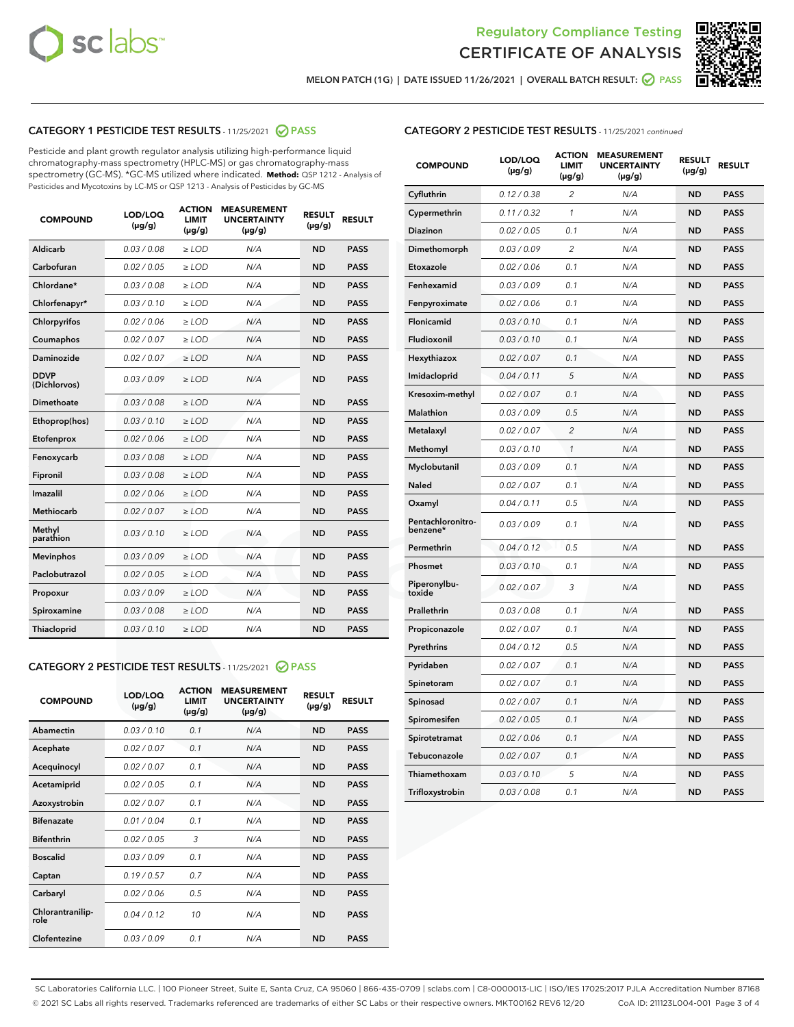



MELON PATCH (1G) | DATE ISSUED 11/26/2021 | OVERALL BATCH RESULT: 2 PASS

# CATEGORY 1 PESTICIDE TEST RESULTS - 11/25/2021 2 PASS

Pesticide and plant growth regulator analysis utilizing high-performance liquid chromatography-mass spectrometry (HPLC-MS) or gas chromatography-mass spectrometry (GC-MS). \*GC-MS utilized where indicated. **Method:** QSP 1212 - Analysis of Pesticides and Mycotoxins by LC-MS or QSP 1213 - Analysis of Pesticides by GC-MS

| <b>COMPOUND</b>             | LOD/LOQ<br>$(\mu g/g)$ | <b>ACTION</b><br><b>LIMIT</b><br>$(\mu g/g)$ | <b>MEASUREMENT</b><br><b>UNCERTAINTY</b><br>$(\mu g/g)$ | <b>RESULT</b><br>$(\mu g/g)$ | <b>RESULT</b> |
|-----------------------------|------------------------|----------------------------------------------|---------------------------------------------------------|------------------------------|---------------|
| Aldicarb                    | 0.03 / 0.08            | $\geq$ LOD                                   | N/A                                                     | <b>ND</b>                    | <b>PASS</b>   |
| Carbofuran                  | 0.02/0.05              | $>$ LOD                                      | N/A                                                     | <b>ND</b>                    | <b>PASS</b>   |
| Chlordane*                  | 0.03 / 0.08            | ≥ LOD                                        | N/A                                                     | <b>ND</b>                    | <b>PASS</b>   |
| Chlorfenapyr*               | 0.03/0.10              | $\ge$ LOD                                    | N/A                                                     | <b>ND</b>                    | <b>PASS</b>   |
| Chlorpyrifos                | 0.02 / 0.06            | $\geq$ LOD                                   | N/A                                                     | <b>ND</b>                    | <b>PASS</b>   |
| Coumaphos                   | 0.02 / 0.07            | $>$ LOD                                      | N/A                                                     | <b>ND</b>                    | <b>PASS</b>   |
| Daminozide                  | 0.02 / 0.07            | $\geq$ LOD                                   | N/A                                                     | <b>ND</b>                    | <b>PASS</b>   |
| <b>DDVP</b><br>(Dichlorvos) | 0.03/0.09              | $\geq$ LOD                                   | N/A                                                     | <b>ND</b>                    | <b>PASS</b>   |
| <b>Dimethoate</b>           | 0.03 / 0.08            | $\ge$ LOD                                    | N/A                                                     | <b>ND</b>                    | <b>PASS</b>   |
| Ethoprop(hos)               | 0.03/0.10              | $>$ LOD                                      | N/A                                                     | <b>ND</b>                    | <b>PASS</b>   |
| Etofenprox                  | 0.02 / 0.06            | $\geq$ LOD                                   | N/A                                                     | <b>ND</b>                    | <b>PASS</b>   |
| Fenoxycarb                  | 0.03 / 0.08            | $>$ LOD                                      | N/A                                                     | <b>ND</b>                    | <b>PASS</b>   |
| Fipronil                    | 0.03 / 0.08            | $\geq$ LOD                                   | N/A                                                     | <b>ND</b>                    | <b>PASS</b>   |
| Imazalil                    | 0.02 / 0.06            | $\geq$ LOD                                   | N/A                                                     | <b>ND</b>                    | <b>PASS</b>   |
| Methiocarb                  | 0.02 / 0.07            | ≥ LOD                                        | N/A                                                     | <b>ND</b>                    | <b>PASS</b>   |
| Methyl<br>parathion         | 0.03/0.10              | $>$ LOD                                      | N/A                                                     | <b>ND</b>                    | <b>PASS</b>   |
| <b>Mevinphos</b>            | 0.03/0.09              | $>$ LOD                                      | N/A                                                     | <b>ND</b>                    | <b>PASS</b>   |
| Paclobutrazol               | 0.02 / 0.05            | $\geq$ LOD                                   | N/A                                                     | <b>ND</b>                    | <b>PASS</b>   |
| Propoxur                    | 0.03/0.09              | ≥ LOD                                        | N/A                                                     | <b>ND</b>                    | <b>PASS</b>   |
| Spiroxamine                 | 0.03 / 0.08            | $\ge$ LOD                                    | N/A                                                     | <b>ND</b>                    | <b>PASS</b>   |
| <b>Thiacloprid</b>          | 0.03/0.10              | $\geq$ LOD                                   | N/A                                                     | <b>ND</b>                    | <b>PASS</b>   |
|                             |                        |                                              |                                                         |                              |               |

# CATEGORY 2 PESTICIDE TEST RESULTS - 11/25/2021 @ PASS

| <b>COMPOUND</b>          | LOD/LOO<br>$(\mu g/g)$ | <b>ACTION</b><br>LIMIT<br>$(\mu g/g)$ | <b>MEASUREMENT</b><br><b>UNCERTAINTY</b><br>$(\mu g/g)$ | <b>RESULT</b><br>$(\mu g/g)$ | <b>RESULT</b> |  |
|--------------------------|------------------------|---------------------------------------|---------------------------------------------------------|------------------------------|---------------|--|
| Abamectin                | 0.03/0.10              | 0.1                                   | N/A                                                     | <b>ND</b>                    | <b>PASS</b>   |  |
| Acephate                 | 0.02/0.07              | 0.1                                   | N/A                                                     | <b>ND</b>                    | <b>PASS</b>   |  |
| Acequinocyl              | 0.02/0.07              | 0.1                                   | N/A                                                     | <b>ND</b>                    | <b>PASS</b>   |  |
| Acetamiprid              | 0.02/0.05              | 0.1                                   | N/A                                                     | <b>ND</b>                    | <b>PASS</b>   |  |
| Azoxystrobin             | 0.02/0.07              | 0.1                                   | N/A                                                     | <b>ND</b>                    | <b>PASS</b>   |  |
| <b>Bifenazate</b>        | 0.01/0.04              | 0.1                                   | N/A                                                     | <b>ND</b>                    | <b>PASS</b>   |  |
| <b>Bifenthrin</b>        | 0.02/0.05              | 3                                     | N/A                                                     | <b>ND</b>                    | <b>PASS</b>   |  |
| <b>Boscalid</b>          | 0.03/0.09              | 0.1                                   | N/A                                                     | <b>ND</b>                    | <b>PASS</b>   |  |
| Captan                   | 0.19/0.57              | 0.7                                   | N/A                                                     | <b>ND</b>                    | <b>PASS</b>   |  |
| Carbaryl                 | 0.02/0.06              | 0.5                                   | N/A                                                     | <b>ND</b>                    | <b>PASS</b>   |  |
| Chlorantranilip-<br>role | 0.04/0.12              | 10                                    | N/A                                                     | <b>ND</b>                    | <b>PASS</b>   |  |
| Clofentezine             | 0.03/0.09              | 0.1                                   | N/A                                                     | <b>ND</b>                    | <b>PASS</b>   |  |

# CATEGORY 2 PESTICIDE TEST RESULTS - 11/25/2021 continued

| <b>COMPOUND</b>               | LOD/LOQ<br>$(\mu g/g)$ | <b>ACTION</b><br>LIMIT<br>(µg/g) | <b>MEASUREMENT</b><br><b>UNCERTAINTY</b><br>$(\mu g/g)$ | <b>RESULT</b><br>$(\mu g/g)$ | <b>RESULT</b> |
|-------------------------------|------------------------|----------------------------------|---------------------------------------------------------|------------------------------|---------------|
| Cyfluthrin                    | 0.12 / 0.38            | $\overline{2}$                   | N/A                                                     | <b>ND</b>                    | <b>PASS</b>   |
| Cypermethrin                  | 0.11 / 0.32            | 1                                | N/A                                                     | <b>ND</b>                    | <b>PASS</b>   |
| <b>Diazinon</b>               | 0.02 / 0.05            | 0.1                              | N/A                                                     | <b>ND</b>                    | <b>PASS</b>   |
| Dimethomorph                  | 0.03 / 0.09            | $\overline{2}$                   | N/A                                                     | ND                           | <b>PASS</b>   |
| Etoxazole                     | 0.02 / 0.06            | 0.1                              | N/A                                                     | <b>ND</b>                    | <b>PASS</b>   |
| Fenhexamid                    | 0.03 / 0.09            | 0.1                              | N/A                                                     | <b>ND</b>                    | <b>PASS</b>   |
| Fenpyroximate                 | 0.02 / 0.06            | 0.1                              | N/A                                                     | ND                           | <b>PASS</b>   |
| Flonicamid                    | 0.03 / 0.10            | 0.1                              | N/A                                                     | ND                           | <b>PASS</b>   |
| Fludioxonil                   | 0.03 / 0.10            | 0.1                              | N/A                                                     | <b>ND</b>                    | <b>PASS</b>   |
| Hexythiazox                   | 0.02 / 0.07            | 0.1                              | N/A                                                     | <b>ND</b>                    | <b>PASS</b>   |
| Imidacloprid                  | 0.04 / 0.11            | 5                                | N/A                                                     | <b>ND</b>                    | <b>PASS</b>   |
| Kresoxim-methyl               | 0.02 / 0.07            | 0.1                              | N/A                                                     | <b>ND</b>                    | <b>PASS</b>   |
| <b>Malathion</b>              | 0.03 / 0.09            | 0.5                              | N/A                                                     | ND                           | <b>PASS</b>   |
| Metalaxyl                     | 0.02 / 0.07            | $\overline{c}$                   | N/A                                                     | ND                           | <b>PASS</b>   |
| Methomyl                      | 0.03 / 0.10            | 1                                | N/A                                                     | <b>ND</b>                    | <b>PASS</b>   |
| Myclobutanil                  | 0.03 / 0.09            | 0.1                              | N/A                                                     | ND                           | <b>PASS</b>   |
| Naled                         | 0.02 / 0.07            | 0.1                              | N/A                                                     | <b>ND</b>                    | <b>PASS</b>   |
| Oxamyl                        | 0.04 / 0.11            | 0.5                              | N/A                                                     | ND                           | <b>PASS</b>   |
| Pentachloronitro-<br>benzene* | 0.03 / 0.09            | 0.1                              | N/A                                                     | ND                           | <b>PASS</b>   |
| Permethrin                    | 0.04 / 0.12            | 0.5                              | N/A                                                     | <b>ND</b>                    | <b>PASS</b>   |
| Phosmet                       | 0.03 / 0.10            | 0.1                              | N/A                                                     | ND                           | <b>PASS</b>   |
| Piperonylbu-<br>toxide        | 0.02 / 0.07            | 3                                | N/A                                                     | <b>ND</b>                    | <b>PASS</b>   |
| Prallethrin                   | 0.03 / 0.08            | 0.1                              | N/A                                                     | <b>ND</b>                    | <b>PASS</b>   |
| Propiconazole                 | 0.02 / 0.07            | 0.1                              | N/A                                                     | <b>ND</b>                    | <b>PASS</b>   |
| Pyrethrins                    | 0.04 / 0.12            | 0.5                              | N/A                                                     | ND                           | <b>PASS</b>   |
| Pyridaben                     | 0.02 / 0.07            | 0.1                              | N/A                                                     | <b>ND</b>                    | <b>PASS</b>   |
| Spinetoram                    | 0.02 / 0.07            | 0.1                              | N/A                                                     | <b>ND</b>                    | <b>PASS</b>   |
| Spinosad                      | 0.02 / 0.07            | 0.1                              | N/A                                                     | ND                           | <b>PASS</b>   |
| Spiromesifen                  | 0.02 / 0.05            | 0.1                              | N/A                                                     | <b>ND</b>                    | <b>PASS</b>   |
| Spirotetramat                 | 0.02 / 0.06            | 0.1                              | N/A                                                     | ND                           | <b>PASS</b>   |
| Tebuconazole                  | 0.02 / 0.07            | 0.1                              | N/A                                                     | <b>ND</b>                    | <b>PASS</b>   |
| Thiamethoxam                  | 0.03 / 0.10            | 5                                | N/A                                                     | ND                           | <b>PASS</b>   |
| Trifloxystrobin               | 0.03 / 0.08            | 0.1                              | N/A                                                     | <b>ND</b>                    | <b>PASS</b>   |

SC Laboratories California LLC. | 100 Pioneer Street, Suite E, Santa Cruz, CA 95060 | 866-435-0709 | sclabs.com | C8-0000013-LIC | ISO/IES 17025:2017 PJLA Accreditation Number 87168 © 2021 SC Labs all rights reserved. Trademarks referenced are trademarks of either SC Labs or their respective owners. MKT00162 REV6 12/20 CoA ID: 211123L004-001 Page 3 of 4